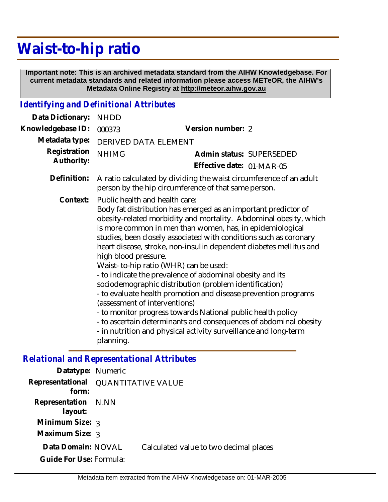## **Waist-to-hip ratio**

 **Important note: This is an archived metadata standard from the AIHW Knowledgebase. For current metadata standards and related information please access METeOR, the AIHW's Metadata Online Registry at http://meteor.aihw.gov.au**

## *Identifying and Definitional Attributes*

| Data Dictionary:                                  | <b>NHDD</b>                                                                                                                                                                                                                                                                                                                                                                                                                                                                                                                                                                                                                                                                                                                                                                                                                                                                                   |                                                       |  |
|---------------------------------------------------|-----------------------------------------------------------------------------------------------------------------------------------------------------------------------------------------------------------------------------------------------------------------------------------------------------------------------------------------------------------------------------------------------------------------------------------------------------------------------------------------------------------------------------------------------------------------------------------------------------------------------------------------------------------------------------------------------------------------------------------------------------------------------------------------------------------------------------------------------------------------------------------------------|-------------------------------------------------------|--|
| Knowledgebase ID:                                 | 000373                                                                                                                                                                                                                                                                                                                                                                                                                                                                                                                                                                                                                                                                                                                                                                                                                                                                                        | Version number: 2                                     |  |
| Metadata type:                                    | DERIVED DATA ELEMENT                                                                                                                                                                                                                                                                                                                                                                                                                                                                                                                                                                                                                                                                                                                                                                                                                                                                          |                                                       |  |
| Registration<br>Authority:                        | <b>NHIMG</b>                                                                                                                                                                                                                                                                                                                                                                                                                                                                                                                                                                                                                                                                                                                                                                                                                                                                                  | Admin status: SUPERSEDED<br>Effective date: 01-MAR-05 |  |
| Definition:                                       | A ratio calculated by dividing the waist circumference of an adult<br>person by the hip circumference of that same person.                                                                                                                                                                                                                                                                                                                                                                                                                                                                                                                                                                                                                                                                                                                                                                    |                                                       |  |
| Context:                                          | Public health and health care:<br>Body fat distribution has emerged as an important predictor of<br>obesity-related morbidity and mortality. Abdominal obesity, which<br>is more common in men than women, has, in epidemiological<br>studies, been closely associated with conditions such as coronary<br>heart disease, stroke, non-insulin dependent diabetes mellitus and<br>high blood pressure.<br>Waist- to-hip ratio (WHR) can be used:<br>- to indicate the prevalence of abdominal obesity and its<br>sociodemographic distribution (problem identification)<br>- to evaluate health promotion and disease prevention programs<br>(assessment of interventions)<br>- to monitor progress towards National public health policy<br>- to ascertain determinants and consequences of abdominal obesity<br>- in nutrition and physical activity surveillance and long-term<br>planning. |                                                       |  |
| <b>Relational and Representational Attributes</b> |                                                                                                                                                                                                                                                                                                                                                                                                                                                                                                                                                                                                                                                                                                                                                                                                                                                                                               |                                                       |  |
| Datatype: Numeric                                 |                                                                                                                                                                                                                                                                                                                                                                                                                                                                                                                                                                                                                                                                                                                                                                                                                                                                                               |                                                       |  |
| $Dancocantational = QHANTITATUITVANII$            |                                                                                                                                                                                                                                                                                                                                                                                                                                                                                                                                                                                                                                                                                                                                                                                                                                                                                               |                                                       |  |

| Datalype. TVUITELIC                          |                                        |
|----------------------------------------------|----------------------------------------|
| Representational QUANTITATIVE VALUE<br>form: |                                        |
| Representation N.NN<br>layout:               |                                        |
| Minimum Size: 3                              |                                        |
| Maximum Size: 3                              |                                        |
| Data Domain: NOVAL                           | Calculated value to two decimal places |
| Guide For Use: Formula:                      |                                        |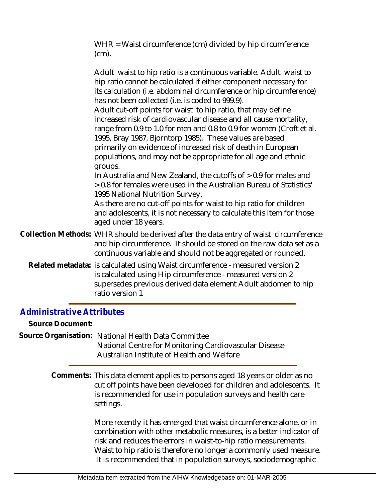WHR = Waist circumference (cm) divided by hip circumference (cm).

| Adult waist to hip ratio is a continuous variable. Adult waist to<br>hip ratio cannot be calculated if either component necessary for<br>its calculation (i.e. abdominal circumference or hip circumference)<br>has not been collected (i.e. is coded to 999.9).<br>Adult cut-off points for waist to hip ratio, that may define<br>increased risk of cardiovascular disease and all cause mortality,<br>range from 0.9 to 1.0 for men and 0.8 to 0.9 for women (Croft et al.<br>1995, Bray 1987, Bjorntorp 1985). These values are based<br>primarily on evidence of increased risk of death in European<br>populations, and may not be appropriate for all age and ethnic<br>groups.<br>In Australia and New Zealand, the cutoffs of > 0.9 for males and<br>> 0.8 for females were used in the Australian Bureau of Statistics'<br>1995 National Nutrition Survey.<br>As there are no cut-off points for waist to hip ratio for children<br>and adolescents, it is not necessary to calculate this item for those<br>aged under 18 years. |
|---------------------------------------------------------------------------------------------------------------------------------------------------------------------------------------------------------------------------------------------------------------------------------------------------------------------------------------------------------------------------------------------------------------------------------------------------------------------------------------------------------------------------------------------------------------------------------------------------------------------------------------------------------------------------------------------------------------------------------------------------------------------------------------------------------------------------------------------------------------------------------------------------------------------------------------------------------------------------------------------------------------------------------------------|
| Collection Methods: WHR should be derived after the data entry of waist circumference<br>and hip circumference. It should be stored on the raw data set as a<br>continuous variable and should not be aggregated or rounded.                                                                                                                                                                                                                                                                                                                                                                                                                                                                                                                                                                                                                                                                                                                                                                                                                |
| Related metadata: is calculated using Waist circumference - measured version 2<br>is calculated using Hip circumference - measured version 2<br>supersedes previous derived data element Adult abdomen to hip<br>ratio version 1                                                                                                                                                                                                                                                                                                                                                                                                                                                                                                                                                                                                                                                                                                                                                                                                            |

## *Administrative Attributes*

**Source Document:**

Source Organisation: National Health Data Committee National Centre for Monitoring Cardiovascular Disease Australian Institute of Health and Welfare

> Comments: This data element applies to persons aged 18 years or older as no cut off points have been developed for children and adolescents. It is recommended for use in population surveys and health care settings.

> > More recently it has emerged that waist circumference alone, or in combination with other metabolic measures, is a better indicator of risk and reduces the errors in waist-to-hip ratio measurements. Waist to hip ratio is therefore no longer a commonly used measure. It is recommended that in population surveys, sociodemographic